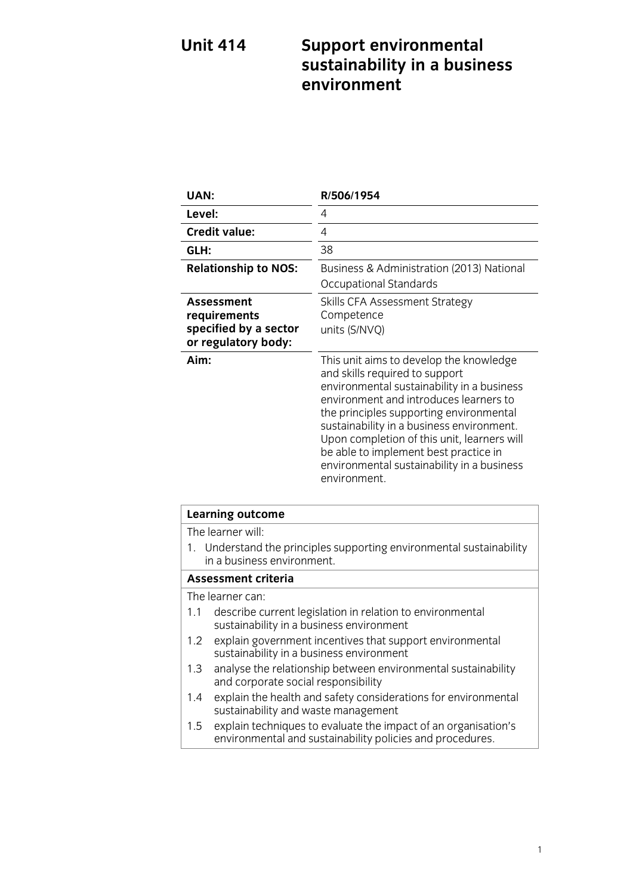# **Unit 414 Support environmental** *Sustainability in a busin* **sustainability** in a business  $\mathbf{\hat{i}}$

| UAN:                                                                       | R/506/1954                                                                                                                                                                                                                                                                                                                                                                                                      |
|----------------------------------------------------------------------------|-----------------------------------------------------------------------------------------------------------------------------------------------------------------------------------------------------------------------------------------------------------------------------------------------------------------------------------------------------------------------------------------------------------------|
| Level:                                                                     | 4                                                                                                                                                                                                                                                                                                                                                                                                               |
| <b>Credit value:</b>                                                       | 4                                                                                                                                                                                                                                                                                                                                                                                                               |
| GLH:                                                                       | 38                                                                                                                                                                                                                                                                                                                                                                                                              |
| <b>Relationship to NOS:</b>                                                | Business & Administration (2013) National<br>Occupational Standards                                                                                                                                                                                                                                                                                                                                             |
| Assessment<br>requirements<br>specified by a sector<br>or regulatory body: | Skills CFA Assessment Strategy<br>Competence<br>units (S/NVQ)                                                                                                                                                                                                                                                                                                                                                   |
| Aim:                                                                       | This unit aims to develop the knowledge<br>and skills required to support<br>environmental sustainability in a business<br>environment and introduces learners to<br>the principles supporting environmental<br>sustainability in a business environment.<br>Upon completion of this unit, learners will<br>be able to implement best practice in<br>environmental sustainability in a business<br>environment. |

| <b>Learning outcome</b>                                                                                                            |  |
|------------------------------------------------------------------------------------------------------------------------------------|--|
| The learner will:                                                                                                                  |  |
| 1. Understand the principles supporting environmental sustainability<br>in a business environment.                                 |  |
| Assessment criteria                                                                                                                |  |
| The learner can:                                                                                                                   |  |
| describe current legislation in relation to environmental<br>1.1<br>sustainability in a business environment                       |  |
| explain government incentives that support environmental<br>1.2 <sub>1</sub><br>sustainability in a business environment           |  |
| analyse the relationship between environmental sustainability<br>1.3<br>and corporate social responsibility                        |  |
| explain the health and safety considerations for environmental<br>$1.4^{\circ}$<br>sustainability and waste management             |  |
| explain techniques to evaluate the impact of an organisation's<br>1.5<br>environmental and sustainability policies and procedures. |  |
|                                                                                                                                    |  |